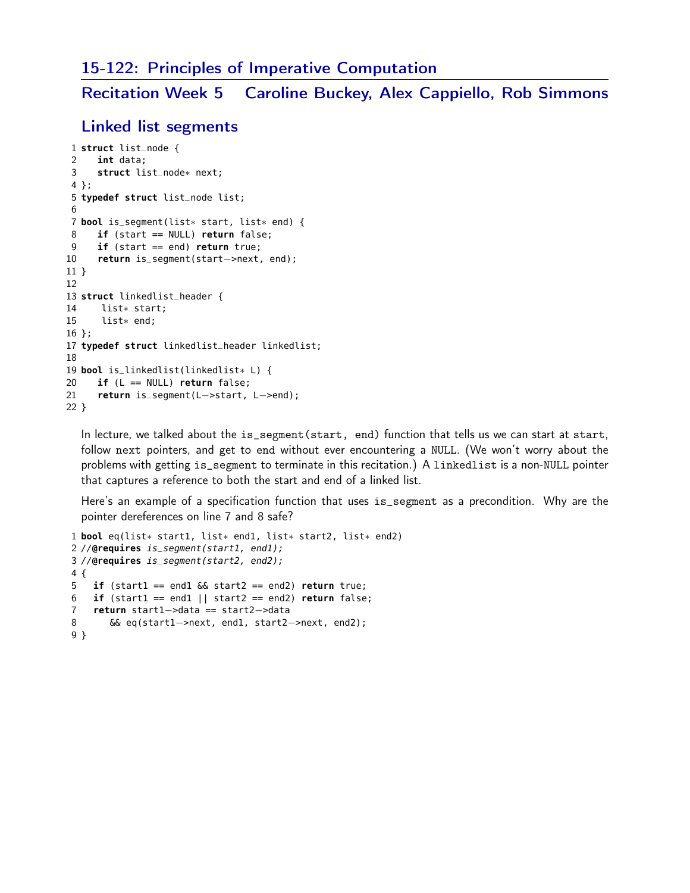### 15-122: Principles of Imperative Computation

Recitation Week 5 Caroline Buckey, Alex Cappiello, Rob Simmons

## Linked list segments

```
1 struct list_node {
2 int data;
3 struct list_node∗ next;
4 };
5 typedef struct list_node list;
6
7 bool is_segment(list∗ start, list∗ end) {
8 if (start == NULL) return false;
9 if (start == end) return true;
10 return is_segment(start−>next, end);
11 }
12
13 struct linkedlist_header {
14 list∗ start;
15 list∗ end;
16 };
17 typedef struct linkedlist_header linkedlist;
18
19 bool is_linkedlist(linkedlist∗ L) {
20 if (L == NULL) return false;
21 return is_segment(L−>start, L−>end);
22 }
```
In lecture, we talked about the is\_segment(start, end) function that tells us we can start at start, follow next pointers, and get to end without ever encountering a NULL. (We won't worry about the problems with getting is\_segment to terminate in this recitation.) A linkedlist is a non-NULL pointer that captures a reference to both the start and end of a linked list.

Here's an example of a specification function that uses is\_segment as a precondition. Why are the pointer dereferences on line 7 and 8 safe?

```
1 bool eq(list∗ start1, list∗ end1, list∗ start2, list∗ end2)
2 //@requires is_segment(start1, end1);
3 //@requires is_segment(start2, end2);
4 {
5 if (start1 == end1 && start2 == end2) return true;
6 if (start1 == end1 || start2 == end2) return false;
7 return start1−>data == start2−>data
8 && eq(start1−>next, end1, start2−>next, end2);
9 }
```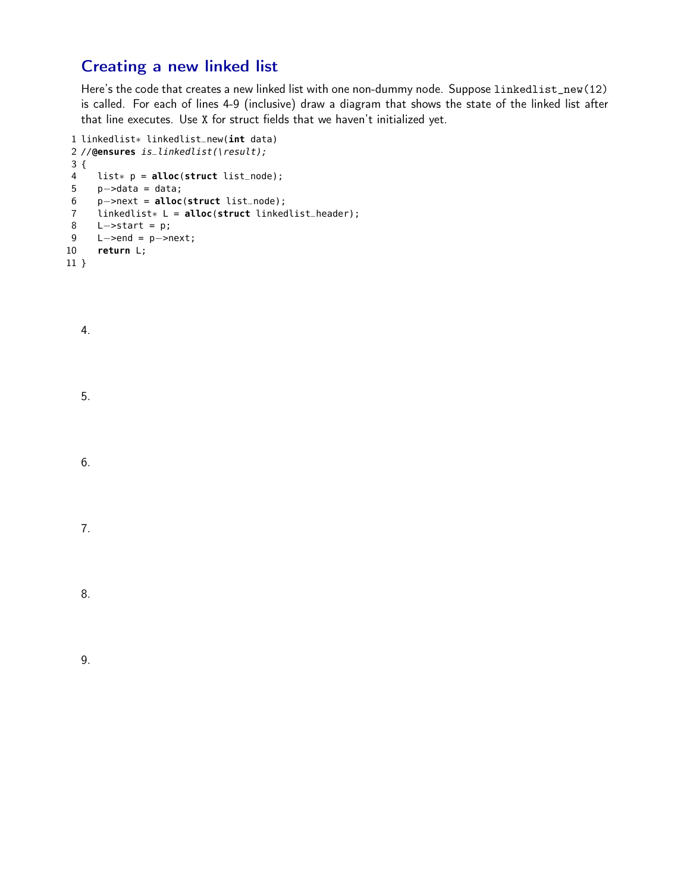# Creating a new linked list

Here's the code that creates a new linked list with one non-dummy node. Suppose linkedlist\_new(12) is called. For each of lines 4-9 (inclusive) draw a diagram that shows the state of the linked list after that line executes. Use X for struct fields that we haven't initialized yet.

```
1 linkedlist∗ linkedlist_new(int data)
2 //@ensures is_linkedlist(\result);
3 {
4 list∗ p = alloc(struct list_node);
5 p−>data = data;
6 p−>next = alloc(struct list_node);
7 linkedlist∗ L = alloc(struct linkedlist_header);
8 L−>start = p;
9 L−>end = p−>next;
10 return L;
11 }
```
- 4.
- 5.
- 6.

|--|--|

8.

9.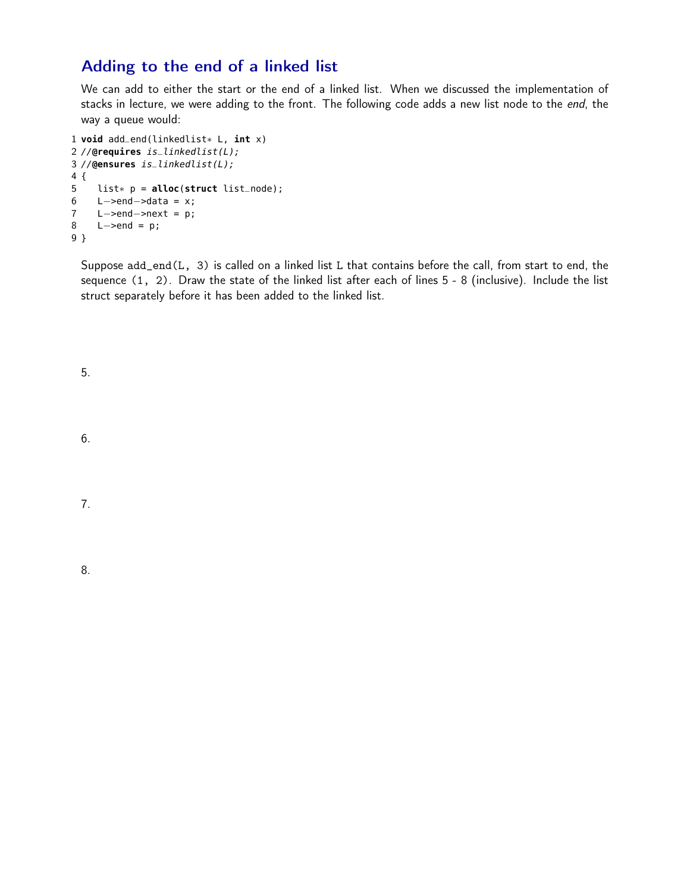## Adding to the end of a linked list

We can add to either the start or the end of a linked list. When we discussed the implementation of stacks in lecture, we were adding to the front. The following code adds a new list node to the end, the way a queue would:

```
1 void add_end(linkedlist∗ L, int x)
2 //@requires is_linkedlist(L);
3 //@ensures is_linkedlist(L);
4 {
5 list∗ p = alloc(struct list_node);
6 L->end->data = x;
7 L−>end−>next = p;
8 L−>end = p;
9 }
```
Suppose add\_end(L, 3) is called on a linked list L that contains before the call, from start to end, the sequence (1, 2). Draw the state of the linked list after each of lines 5 - 8 (inclusive). Include the list struct separately before it has been added to the linked list.

5.

6.

7.

8.